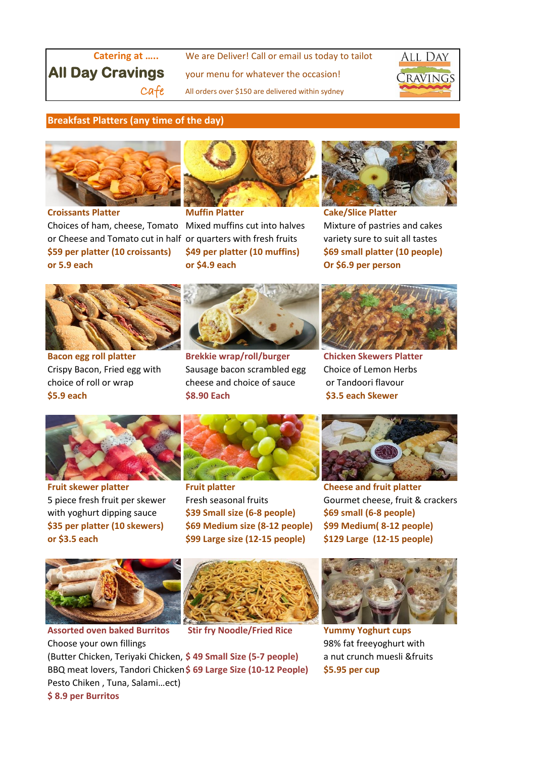**Catering at .....** We are Deliver! Call or email us today to tailot **All Day Cravings** your menu for whatever the occasion!  $Caf$ e All orders over \$150 are delivered within sydney



## **Breakfast Platters (any time of the day)**



**Croissants Platter Muffin Platter Cake/Slice Platter** Choices of ham, cheese, Tomato Mixed muffins cut into halves Mixture of pastries and cakes or Cheese and Tomato cut in half or quarters with fresh fruits variety sure to suit all tastes **\$59 per platter (10 croissants) \$49 per platter (10 muffins) \$69 small platter (10 people) or 5.9 each or \$4.9 each Or \$6.9 per person**









**Bacon egg roll platter Brekkie wrap/roll/burger Chicken Skewers Platter** Crispy Bacon, Fried egg with Sausage bacon scrambled egg Choice of Lemon Herbs choice of roll or wrap cheese and choice of sauce or Tandoori flavour **\$5.9 each \$8.90 Each \$3.5 each Skewer**





**Fruit skewer platter Fruit platter Cheese and fruit platter**



with yoghurt dipping sauce **\$39 Small size (6-8 people) \$69 small (6-8 people) \$35 per platter (10 skewers) \$69 Medium size (8-12 people) \$99 Medium( 8-12 people) or \$3.5 each \$99 Large size (12-15 people) \$129 Large (12-15 people)**



5 piece fresh fruit per skewer Fresh seasonal fruits Gourmet cheese, fruit & crackers



**Assorted oven baked Burritos Stir fry Noodle/Fried Rice Yummy Yoghurt cups**



Choose your own fillings 98% fat freeyoghurt with (Butter Chicken, Teriyaki Chicken, **\$ 49 Small Size (5-7 people)** a nut crunch muesli &fruits BBQ meat lovers, Tandori Chicken**\$ 69 Large Size (10-12 People) \$5.95 per cup** Pesto Chiken , Tuna, Salami…ect) **\$ 8.9 per Burritos**